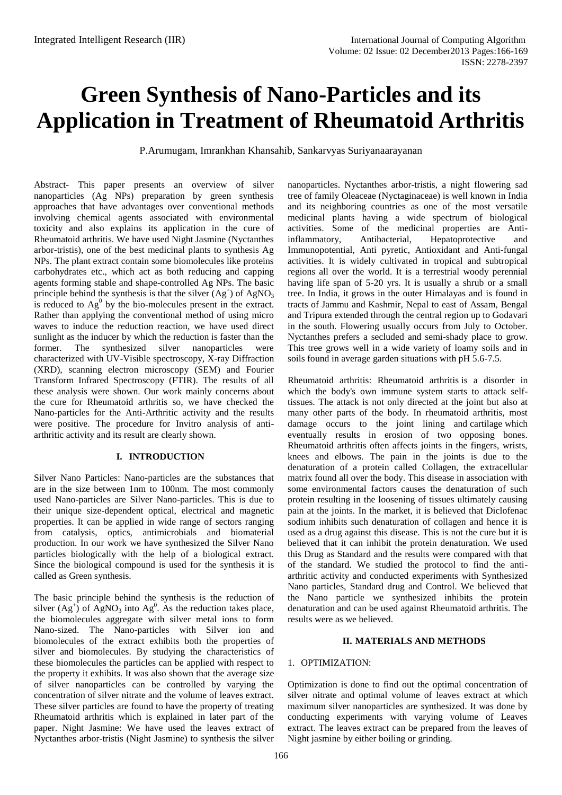# **Green Synthesis of Nano-Particles and its Application in Treatment of Rheumatoid Arthritis**

P.Arumugam, Imrankhan Khansahib, Sankarvyas Suriyanaarayanan

Abstract- This paper presents an overview of silver nanoparticles (Ag NPs) preparation by green synthesis approaches that have advantages over conventional methods involving chemical agents associated with environmental toxicity and also explains its application in the cure of Rheumatoid arthritis. We have used Night Jasmine (Nyctanthes arbor-tristis), one of the best medicinal plants to synthesis Ag NPs. The plant extract contain some biomolecules like proteins carbohydrates etc., which act as both reducing and capping agents forming stable and shape-controlled Ag NPs. The basic principle behind the synthesis is that the silver  $(Ag^+)$  of  $AgNO<sub>3</sub>$ is reduced to  $Ag^0$  by the bio-molecules present in the extract. Rather than applying the conventional method of using micro waves to induce the reduction reaction, we have used direct sunlight as the inducer by which the reduction is faster than the former. The synthesized silver nanoparticles were characterized with UV-Visible spectroscopy, X-ray Diffraction (XRD), scanning electron microscopy (SEM) and Fourier Transform Infrared Spectroscopy (FTIR). The results of all these analysis were shown. Our work mainly concerns about the cure for Rheumatoid arthritis so, we have checked the Nano-particles for the Anti-Arthritic activity and the results were positive. The procedure for Invitro analysis of antiarthritic activity and its result are clearly shown.

# **I. INTRODUCTION**

Silver Nano Particles: Nano-particles are the substances that are in the size between 1nm to 100nm. The most commonly used Nano-particles are Silver Nano-particles. This is due to their unique size-dependent optical, electrical and magnetic properties. It can be applied in wide range of sectors ranging from catalysis, optics, antimicrobials and biomaterial production. In our work we have synthesized the Silver Nano particles biologically with the help of a biological extract. Since the biological compound is used for the synthesis it is called as Green synthesis.

The basic principle behind the synthesis is the reduction of silver  $(Ag^{\dagger})$  of  $AgNO_3$  into  $Ag^0$ . As the reduction takes place, the biomolecules aggregate with silver metal ions to form Nano-sized. The Nano-particles with Silver ion and biomolecules of the extract exhibits both the properties of silver and biomolecules. By studying the characteristics of these biomolecules the particles can be applied with respect to the property it exhibits. It was also shown that the average size of silver nanoparticles can be controlled by varying the concentration of silver nitrate and the volume of leaves extract. These silver particles are found to have the property of treating Rheumatoid arthritis which is explained in later part of the paper. Night Jasmine: We have used the leaves extract of Nyctanthes arbor-tristis (Night Jasmine) to synthesis the silver

nanoparticles. Nyctanthes arbor-tristis, a night flowering sad tree of family Oleaceae (Nyctaginaceae) is well known in India and its neighboring countries as one of the most versatile medicinal plants having a wide spectrum of biological activities. Some of the medicinal properties are Antiinflammatory, Antibacterial, Hepatoprotective and Immunopotential, Anti pyretic, Antioxidant and Anti-fungal activities. It is widely cultivated in tropical and subtropical regions all over the world. It is a terrestrial woody perennial having life span of 5-20 yrs. It is usually a shrub or a small tree. In India, it grows in the outer Himalayas and is found in tracts of Jammu and Kashmir, Nepal to east of Assam, Bengal and Tripura extended through the central region up to Godavari in the south. Flowering usually occurs from July to October. Nyctanthes prefers a secluded and semi-shady place to grow. This tree grows well in a wide variety of loamy soils and in soils found in average garden situations with pH 5.6-7.5.

Rheumatoid arthritis: [Rheumatoid arthritis](http://en.wikipedia.org/wiki/Rheumatoid_arthritis) is a disorder in which the body's own immune system starts to attack selftissues. The attack is not only directed at the joint but also at many other parts of the body. In rheumatoid arthritis, most damage occurs to the joint lining and [cartilage](http://en.wikipedia.org/wiki/Cartilage) which eventually results in erosion of two opposing bones. Rheumatoid arthritis often affects joints in the fingers, wrists, knees and elbows. The pain in the joints is due to the denaturation of a protein called Collagen, the extracellular matrix found all over the body. This disease in association with some environmental factors causes the denaturation of such protein resulting in the loosening of tissues ultimately causing pain at the joints. In the market, it is believed that Diclofenac sodium inhibits such denaturation of collagen and hence it is used as a drug against this disease. This is not the cure but it is believed that it can inhibit the protein denaturation. We used this Drug as Standard and the results were compared with that of the standard. We studied the protocol to find the antiarthritic activity and conducted experiments with Synthesized Nano particles, Standard drug and Control. We believed that the Nano particle we synthesized inhibits the protein denaturation and can be used against Rheumatoid arthritis. The results were as we believed.

#### **II. MATERIALS AND METHODS**

#### 1. OPTIMIZATION:

Optimization is done to find out the optimal concentration of silver nitrate and optimal volume of leaves extract at which maximum silver nanoparticles are synthesized. It was done by conducting experiments with varying volume of Leaves extract. The leaves extract can be prepared from the leaves of Night jasmine by either boiling or grinding.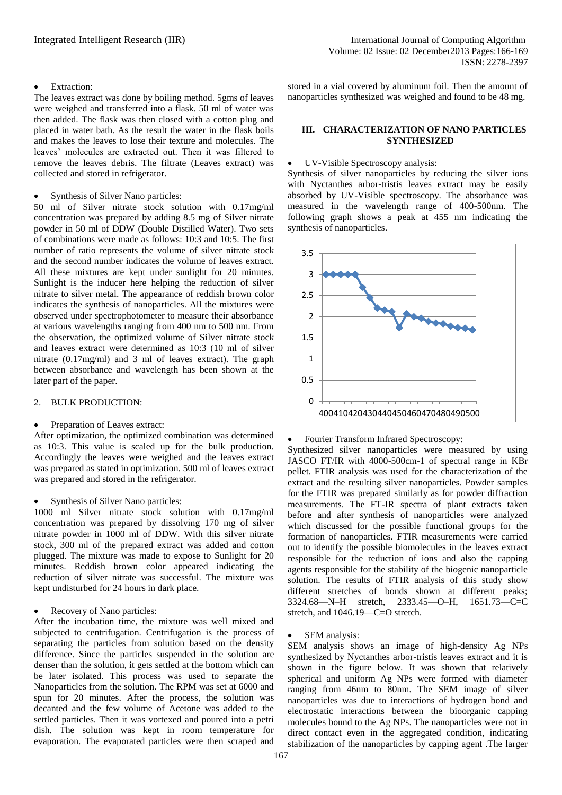## Extraction:

The leaves extract was done by boiling method. 5gms of leaves were weighed and transferred into a flask. 50 ml of water was then added. The flask was then closed with a cotton plug and placed in water bath. As the result the water in the flask boils and makes the leaves to lose their texture and molecules. The leaves' molecules are extracted out. Then it was filtered to remove the leaves debris. The filtrate (Leaves extract) was collected and stored in refrigerator.

## Synthesis of Silver Nano particles:

50 ml of Silver nitrate stock solution with 0.17mg/ml concentration was prepared by adding 8.5 mg of Silver nitrate powder in 50 ml of DDW (Double Distilled Water). Two sets of combinations were made as follows: 10:3 and 10:5. The first number of ratio represents the volume of silver nitrate stock and the second number indicates the volume of leaves extract. All these mixtures are kept under sunlight for 20 minutes. Sunlight is the inducer here helping the reduction of silver nitrate to silver metal. The appearance of reddish brown color indicates the synthesis of nanoparticles. All the mixtures were observed under spectrophotometer to measure their absorbance at various wavelengths ranging from 400 nm to 500 nm. From the observation, the optimized volume of Silver nitrate stock and leaves extract were determined as 10:3 (10 ml of silver nitrate (0.17mg/ml) and 3 ml of leaves extract). The graph between absorbance and wavelength has been shown at the later part of the paper.

#### 2. BULK PRODUCTION:

# Preparation of Leaves extract:

After optimization, the optimized combination was determined as 10:3. This value is scaled up for the bulk production. Accordingly the leaves were weighed and the leaves extract was prepared as stated in optimization. 500 ml of leaves extract was prepared and stored in the refrigerator.

# Synthesis of Silver Nano particles:

1000 ml Silver nitrate stock solution with 0.17mg/ml concentration was prepared by dissolving 170 mg of silver nitrate powder in 1000 ml of DDW. With this silver nitrate stock, 300 ml of the prepared extract was added and cotton plugged. The mixture was made to expose to Sunlight for 20 minutes. Reddish brown color appeared indicating the reduction of silver nitrate was successful. The mixture was kept undisturbed for 24 hours in dark place.

# Recovery of Nano particles:

After the incubation time, the mixture was well mixed and subjected to centrifugation. Centrifugation is the process of separating the particles from solution based on the density difference. Since the particles suspended in the solution are denser than the solution, it gets settled at the bottom which can be later isolated. This process was used to separate the Nanoparticles from the solution. The RPM was set at 6000 and spun for 20 minutes. After the process, the solution was decanted and the few volume of Acetone was added to the settled particles. Then it was vortexed and poured into a petri dish. The solution was kept in room temperature for evaporation. The evaporated particles were then scraped and

## stored in a vial covered by aluminum foil. Then the amount of nanoparticles synthesized was weighed and found to be 48 mg.

## **III. CHARACTERIZATION OF NANO PARTICLES SYNTHESIZED**

# UV-Visible Spectroscopy analysis:

Synthesis of silver nanoparticles by reducing the silver ions with Nyctanthes arbor-tristis leaves extract may be easily absorbed by UV-Visible spectroscopy. The absorbance was measured in the wavelength range of 400-500nm. The following graph shows a peak at 455 nm indicating the synthesis of nanoparticles.



#### Fourier Transform Infrared Spectroscopy:

Synthesized silver nanoparticles were measured by using JASCO FT/IR with 4000-500cm-1 of spectral range in KBr pellet. FTIR analysis was used for the characterization of the extract and the resulting silver nanoparticles. Powder samples for the FTIR was prepared similarly as for powder diffraction measurements. The FT-IR spectra of plant extracts taken before and after synthesis of nanoparticles were analyzed which discussed for the possible functional groups for the formation of nanoparticles. FTIR measurements were carried out to identify the possible biomolecules in the leaves extract responsible for the reduction of ions and also the capping agents responsible for the stability of the biogenic nanoparticle solution. The results of FTIR analysis of this study show different stretches of bonds shown at different peaks; 3324.68—N–H stretch, 2333.45—O–H, 1651.73—C=C stretch, and 1046.19—C=O stretch.

# SEM analysis:

SEM analysis shows an image of high-density Ag NPs synthesized by Nyctanthes arbor-tristis leaves extract and it is shown in the figure below. It was shown that relatively spherical and uniform Ag NPs were formed with diameter ranging from 46nm to 80nm. The SEM image of silver nanoparticles was due to interactions of hydrogen bond and electrostatic interactions between the bioorganic capping molecules bound to the Ag NPs. The nanoparticles were not in direct contact even in the aggregated condition, indicating stabilization of the nanoparticles by capping agent .The larger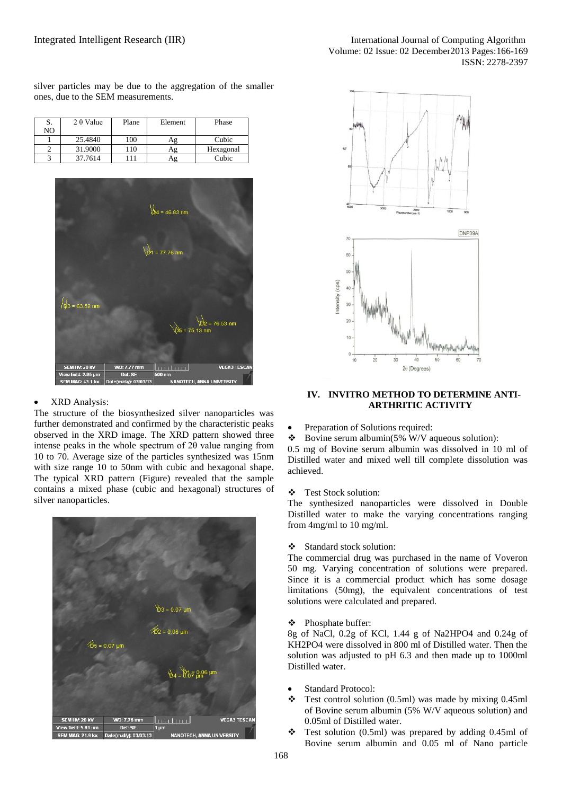silver particles may be due to the aggregation of the smaller ones, due to the SEM measurements.

| J. | $2 \theta$ Value | Plane | Element | Phase     |
|----|------------------|-------|---------|-----------|
| NO |                  |       |         |           |
|    | 25.4840          | 100   | Αg      | Cubic     |
|    | 31.9000          | 10    | Аg      | Hexagonal |
|    | 37.7614          | 11    | Ag      | Cubic     |



# XRD Analysis:

The structure of the biosynthesized silver nanoparticles was further demonstrated and confirmed by the characteristic peaks observed in the XRD image. The XRD pattern showed three intense peaks in the whole spectrum of 2θ value ranging from 10 to 70. Average size of the particles synthesized was 15nm with size range 10 to 50nm with cubic and hexagonal shape. The typical XRD pattern (Figure) revealed that the sample contains a mixed phase (cubic and hexagonal) structures of silver nanoparticles.





## **IV. INVITRO METHOD TO DETERMINE ANTI-ARTHRITIC ACTIVITY**

Preparation of Solutions required:

 $\bullet$  Bovine serum albumin(5% W/V aqueous solution): 0.5 mg of Bovine serum albumin was dissolved in 10 ml of Distilled water and mixed well till complete dissolution was achieved.

Test Stock solution:

The synthesized nanoparticles were dissolved in Double Distilled water to make the varying concentrations ranging from 4mg/ml to 10 mg/ml.

Standard stock solution:

The commercial drug was purchased in the name of Voveron 50 mg. Varying concentration of solutions were prepared. Since it is a commercial product which has some dosage limitations (50mg), the equivalent concentrations of test solutions were calculated and prepared.

Phosphate buffer:

8g of NaCl, 0.2g of KCl, 1.44 g of Na2HPO4 and 0.24g of KH2PO4 were dissolved in 800 ml of Distilled water. Then the solution was adjusted to pH 6.3 and then made up to 1000ml Distilled water.

- Standard Protocol:
- $\div$  Test control solution (0.5ml) was made by mixing 0.45ml of Bovine serum albumin (5% W/V aqueous solution) and 0.05ml of Distilled water.
- Test solution (0.5ml) was prepared by adding 0.45ml of Bovine serum albumin and 0.05 ml of Nano particle